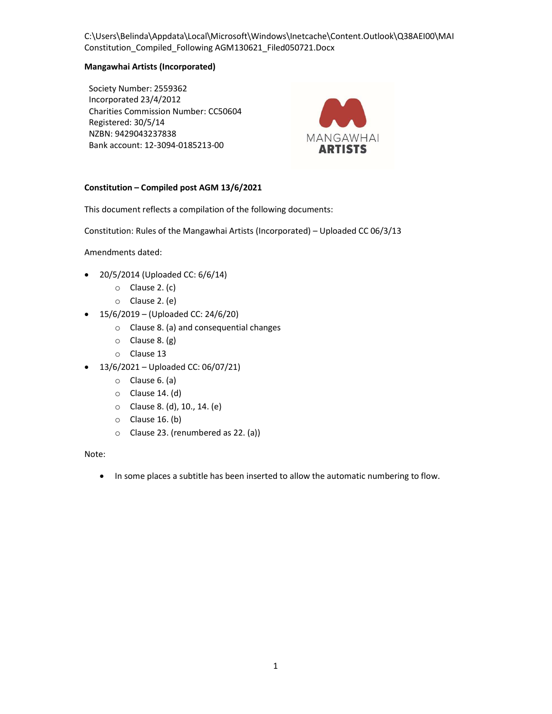# Mangawhai Artists (Incorporated)

Society Number: 2559362 Incorporated 23/4/2012 Charities Commission Number: CC50604 Registered: 30/5/14 NZBN: 9429043237838 Bank account: 12-3094-0185213-00



# Constitution – Compiled post AGM 13/6/2021

This document reflects a compilation of the following documents:

Constitution: Rules of the Mangawhai Artists (Incorporated) – Uploaded CC 06/3/13

Amendments dated:

- 20/5/2014 (Uploaded CC: 6/6/14)
	- o Clause 2. (c)
	- o Clause 2. (e)
- $\bullet$  15/6/2019 (Uploaded CC: 24/6/20)
	- o Clause 8. (a) and consequential changes
	- o Clause 8. (g)
	- o Clause 13
- $-13/6/2021 -$  Uploaded CC: 06/07/21)
	- o Clause 6. (a)
	- o Clause 14. (d)
	- o Clause 8. (d), 10., 14. (e)
	- $\circ$  Clause 16. (b)
	- o Clause 23. (renumbered as 22. (a))

Note:

• In some places a subtitle has been inserted to allow the automatic numbering to flow.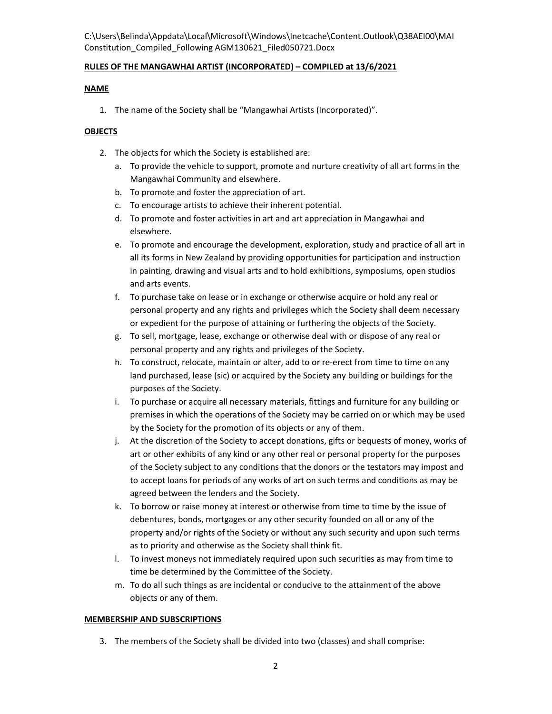# RULES OF THE MANGAWHAI ARTIST (INCORPORATED) – COMPILED at 13/6/2021

# NAME

1. The name of the Society shall be "Mangawhai Artists (Incorporated)".

# **OBJECTS**

- 2. The objects for which the Society is established are:
	- a. To provide the vehicle to support, promote and nurture creativity of all art forms in the Mangawhai Community and elsewhere.
	- b. To promote and foster the appreciation of art.
	- c. To encourage artists to achieve their inherent potential.
	- d. To promote and foster activities in art and art appreciation in Mangawhai and elsewhere.
	- e. To promote and encourage the development, exploration, study and practice of all art in all its forms in New Zealand by providing opportunities for participation and instruction in painting, drawing and visual arts and to hold exhibitions, symposiums, open studios and arts events.
	- f. To purchase take on lease or in exchange or otherwise acquire or hold any real or personal property and any rights and privileges which the Society shall deem necessary or expedient for the purpose of attaining or furthering the objects of the Society.
	- g. To sell, mortgage, lease, exchange or otherwise deal with or dispose of any real or personal property and any rights and privileges of the Society.
	- h. To construct, relocate, maintain or alter, add to or re-erect from time to time on any land purchased, lease (sic) or acquired by the Society any building or buildings for the purposes of the Society.
	- i. To purchase or acquire all necessary materials, fittings and furniture for any building or premises in which the operations of the Society may be carried on or which may be used by the Society for the promotion of its objects or any of them.
	- j. At the discretion of the Society to accept donations, gifts or bequests of money, works of art or other exhibits of any kind or any other real or personal property for the purposes of the Society subject to any conditions that the donors or the testators may impost and to accept loans for periods of any works of art on such terms and conditions as may be agreed between the lenders and the Society.
	- k. To borrow or raise money at interest or otherwise from time to time by the issue of debentures, bonds, mortgages or any other security founded on all or any of the property and/or rights of the Society or without any such security and upon such terms as to priority and otherwise as the Society shall think fit.
	- l. To invest moneys not immediately required upon such securities as may from time to time be determined by the Committee of the Society.
	- m. To do all such things as are incidental or conducive to the attainment of the above objects or any of them.

## MEMBERSHIP AND SUBSCRIPTIONS

3. The members of the Society shall be divided into two (classes) and shall comprise: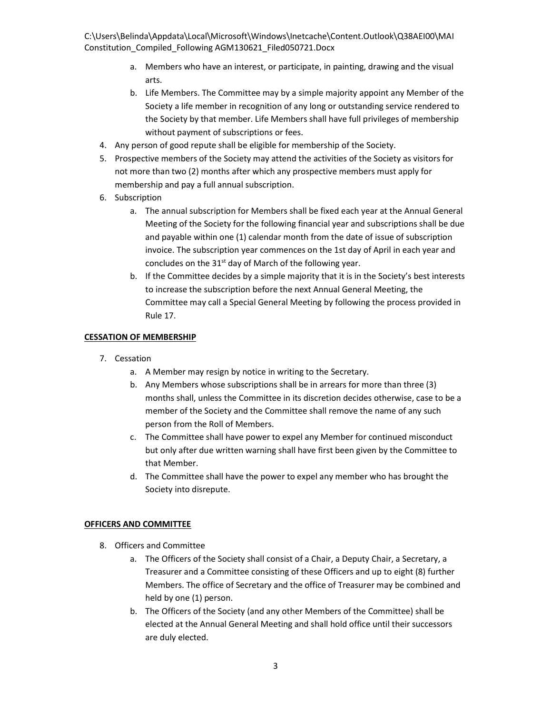- a. Members who have an interest, or participate, in painting, drawing and the visual arts.
- b. Life Members. The Committee may by a simple majority appoint any Member of the Society a life member in recognition of any long or outstanding service rendered to the Society by that member. Life Members shall have full privileges of membership without payment of subscriptions or fees.
- 4. Any person of good repute shall be eligible for membership of the Society.
- 5. Prospective members of the Society may attend the activities of the Society as visitors for not more than two (2) months after which any prospective members must apply for membership and pay a full annual subscription.
- 6. Subscription
	- a. The annual subscription for Members shall be fixed each year at the Annual General Meeting of the Society for the following financial year and subscriptions shall be due and payable within one (1) calendar month from the date of issue of subscription invoice. The subscription year commences on the 1st day of April in each year and concludes on the  $31<sup>st</sup>$  day of March of the following year.
	- b. If the Committee decides by a simple majority that it is in the Society's best interests to increase the subscription before the next Annual General Meeting, the Committee may call a Special General Meeting by following the process provided in Rule 17.

# CESSATION OF MEMBERSHIP

- 7. Cessation
	- a. A Member may resign by notice in writing to the Secretary.
	- b. Any Members whose subscriptions shall be in arrears for more than three (3) months shall, unless the Committee in its discretion decides otherwise, case to be a member of the Society and the Committee shall remove the name of any such person from the Roll of Members.
	- c. The Committee shall have power to expel any Member for continued misconduct but only after due written warning shall have first been given by the Committee to that Member.
	- d. The Committee shall have the power to expel any member who has brought the Society into disrepute.

# OFFICERS AND COMMITTEE

- 8. Officers and Committee
	- a. The Officers of the Society shall consist of a Chair, a Deputy Chair, a Secretary, a Treasurer and a Committee consisting of these Officers and up to eight (8) further Members. The office of Secretary and the office of Treasurer may be combined and held by one (1) person.
	- b. The Officers of the Society (and any other Members of the Committee) shall be elected at the Annual General Meeting and shall hold office until their successors are duly elected.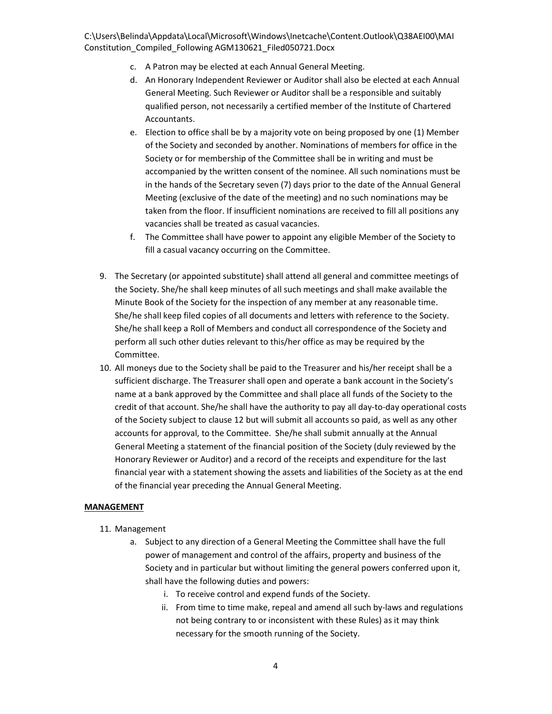- c. A Patron may be elected at each Annual General Meeting.
- d. An Honorary Independent Reviewer or Auditor shall also be elected at each Annual General Meeting. Such Reviewer or Auditor shall be a responsible and suitably qualified person, not necessarily a certified member of the Institute of Chartered Accountants.
- e. Election to office shall be by a majority vote on being proposed by one (1) Member of the Society and seconded by another. Nominations of members for office in the Society or for membership of the Committee shall be in writing and must be accompanied by the written consent of the nominee. All such nominations must be in the hands of the Secretary seven (7) days prior to the date of the Annual General Meeting (exclusive of the date of the meeting) and no such nominations may be taken from the floor. If insufficient nominations are received to fill all positions any vacancies shall be treated as casual vacancies.
- f. The Committee shall have power to appoint any eligible Member of the Society to fill a casual vacancy occurring on the Committee.
- 9. The Secretary (or appointed substitute) shall attend all general and committee meetings of the Society. She/he shall keep minutes of all such meetings and shall make available the Minute Book of the Society for the inspection of any member at any reasonable time. She/he shall keep filed copies of all documents and letters with reference to the Society. She/he shall keep a Roll of Members and conduct all correspondence of the Society and perform all such other duties relevant to this/her office as may be required by the Committee.
- 10. All moneys due to the Society shall be paid to the Treasurer and his/her receipt shall be a sufficient discharge. The Treasurer shall open and operate a bank account in the Society's name at a bank approved by the Committee and shall place all funds of the Society to the credit of that account. She/he shall have the authority to pay all day-to-day operational costs of the Society subject to clause 12 but will submit all accounts so paid, as well as any other accounts for approval, to the Committee. She/he shall submit annually at the Annual General Meeting a statement of the financial position of the Society (duly reviewed by the Honorary Reviewer or Auditor) and a record of the receipts and expenditure for the last financial year with a statement showing the assets and liabilities of the Society as at the end of the financial year preceding the Annual General Meeting.

## **MANAGEMENT**

- 11. Management
	- a. Subject to any direction of a General Meeting the Committee shall have the full power of management and control of the affairs, property and business of the Society and in particular but without limiting the general powers conferred upon it, shall have the following duties and powers:
		- i. To receive control and expend funds of the Society.
		- ii. From time to time make, repeal and amend all such by-laws and regulations not being contrary to or inconsistent with these Rules) as it may think necessary for the smooth running of the Society.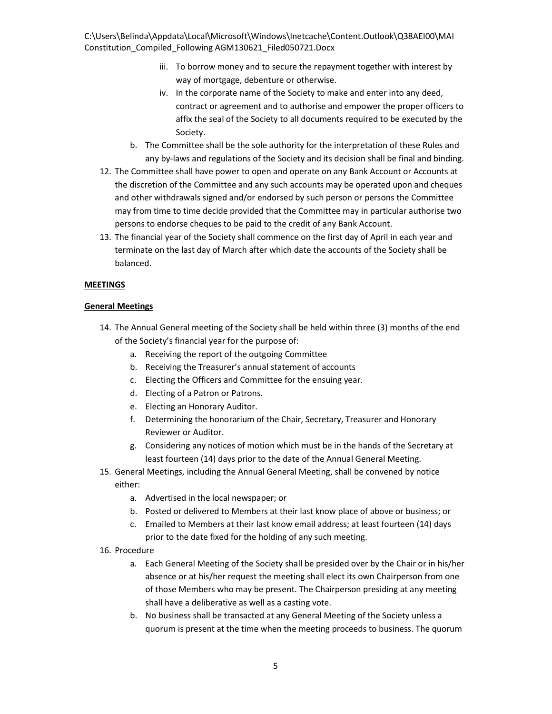- iii. To borrow money and to secure the repayment together with interest by way of mortgage, debenture or otherwise.
- iv. In the corporate name of the Society to make and enter into any deed, contract or agreement and to authorise and empower the proper officers to affix the seal of the Society to all documents required to be executed by the Society.
- b. The Committee shall be the sole authority for the interpretation of these Rules and any by-laws and regulations of the Society and its decision shall be final and binding.
- 12. The Committee shall have power to open and operate on any Bank Account or Accounts at the discretion of the Committee and any such accounts may be operated upon and cheques and other withdrawals signed and/or endorsed by such person or persons the Committee may from time to time decide provided that the Committee may in particular authorise two persons to endorse cheques to be paid to the credit of any Bank Account.
- 13. The financial year of the Society shall commence on the first day of April in each year and terminate on the last day of March after which date the accounts of the Society shall be balanced.

# MEETINGS

## General Meetings

- 14. The Annual General meeting of the Society shall be held within three (3) months of the end of the Society's financial year for the purpose of:
	- a. Receiving the report of the outgoing Committee
	- b. Receiving the Treasurer's annual statement of accounts
	- c. Electing the Officers and Committee for the ensuing year.
	- d. Electing of a Patron or Patrons.
	- e. Electing an Honorary Auditor.
	- f. Determining the honorarium of the Chair, Secretary, Treasurer and Honorary Reviewer or Auditor.
	- g. Considering any notices of motion which must be in the hands of the Secretary at least fourteen (14) days prior to the date of the Annual General Meeting.
- 15. General Meetings, including the Annual General Meeting, shall be convened by notice either:
	- a. Advertised in the local newspaper; or
	- b. Posted or delivered to Members at their last know place of above or business; or
	- c. Emailed to Members at their last know email address; at least fourteen (14) days prior to the date fixed for the holding of any such meeting.
- 16. Procedure
	- a. Each General Meeting of the Society shall be presided over by the Chair or in his/her absence or at his/her request the meeting shall elect its own Chairperson from one of those Members who may be present. The Chairperson presiding at any meeting shall have a deliberative as well as a casting vote.
	- b. No business shall be transacted at any General Meeting of the Society unless a quorum is present at the time when the meeting proceeds to business. The quorum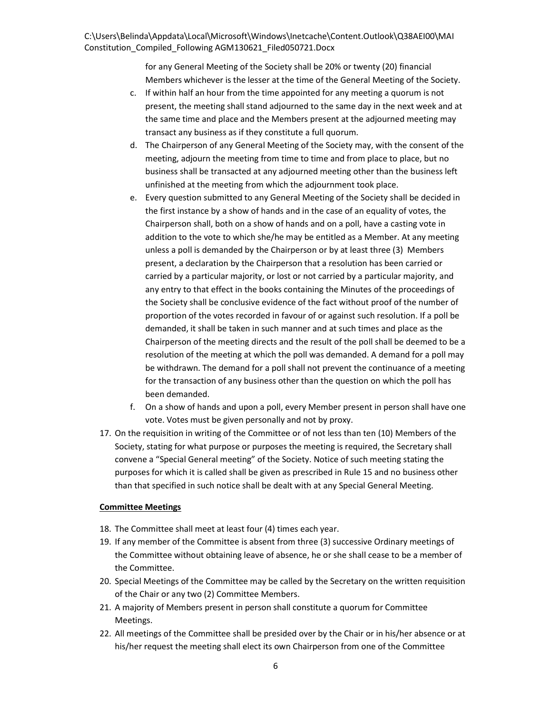for any General Meeting of the Society shall be 20% or twenty (20) financial Members whichever is the lesser at the time of the General Meeting of the Society.

- c. If within half an hour from the time appointed for any meeting a quorum is not present, the meeting shall stand adjourned to the same day in the next week and at the same time and place and the Members present at the adjourned meeting may transact any business as if they constitute a full quorum.
- d. The Chairperson of any General Meeting of the Society may, with the consent of the meeting, adjourn the meeting from time to time and from place to place, but no business shall be transacted at any adjourned meeting other than the business left unfinished at the meeting from which the adjournment took place.
- e. Every question submitted to any General Meeting of the Society shall be decided in the first instance by a show of hands and in the case of an equality of votes, the Chairperson shall, both on a show of hands and on a poll, have a casting vote in addition to the vote to which she/he may be entitled as a Member. At any meeting unless a poll is demanded by the Chairperson or by at least three (3) Members present, a declaration by the Chairperson that a resolution has been carried or carried by a particular majority, or lost or not carried by a particular majority, and any entry to that effect in the books containing the Minutes of the proceedings of the Society shall be conclusive evidence of the fact without proof of the number of proportion of the votes recorded in favour of or against such resolution. If a poll be demanded, it shall be taken in such manner and at such times and place as the Chairperson of the meeting directs and the result of the poll shall be deemed to be a resolution of the meeting at which the poll was demanded. A demand for a poll may be withdrawn. The demand for a poll shall not prevent the continuance of a meeting for the transaction of any business other than the question on which the poll has been demanded.
- f. On a show of hands and upon a poll, every Member present in person shall have one vote. Votes must be given personally and not by proxy.
- 17. On the requisition in writing of the Committee or of not less than ten (10) Members of the Society, stating for what purpose or purposes the meeting is required, the Secretary shall convene a "Special General meeting" of the Society. Notice of such meeting stating the purposes for which it is called shall be given as prescribed in Rule 15 and no business other than that specified in such notice shall be dealt with at any Special General Meeting.

# Committee Meetings

- 18. The Committee shall meet at least four (4) times each year.
- 19. If any member of the Committee is absent from three (3) successive Ordinary meetings of the Committee without obtaining leave of absence, he or she shall cease to be a member of the Committee.
- 20. Special Meetings of the Committee may be called by the Secretary on the written requisition of the Chair or any two (2) Committee Members.
- 21. A majority of Members present in person shall constitute a quorum for Committee Meetings.
- 22. All meetings of the Committee shall be presided over by the Chair or in his/her absence or at his/her request the meeting shall elect its own Chairperson from one of the Committee